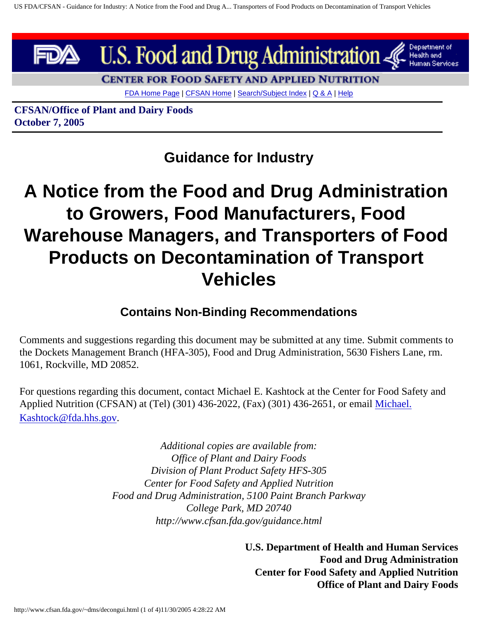

**CENTER FOR FOOD SAFETY AND APPLIED NUTRITION** 

[FDA Home Page](http://www.fda.gov/default.htm) | [CFSAN Home](http://www.cfsan.fda.gov/list.html) | [Search/Subject Index](http://www.cfsan.fda.gov/~dms/wsearch.html) | [Q & A](http://www.cfsan.fda.gov/~dms/qa-top.html) | [Help](http://www.cfsan.fda.gov/~dms/help.html)

**CFSAN/Office of Plant and Dairy Foods October 7, 2005**

**Guidance for Industry**

# **A Notice from the Food and Drug Administration to Growers, Food Manufacturers, Food Warehouse Managers, and Transporters of Food Products on Decontamination of Transport Vehicles**

#### **Contains Non-Binding Recommendations**

Comments and suggestions regarding this document may be submitted at any time. Submit comments to the Dockets Management Branch (HFA-305), Food and Drug Administration, 5630 Fishers Lane, rm. 1061, Rockville, MD 20852.

For questions regarding this document, contact Michael E. Kashtock at the Center for Food Safety and Applied Nutrition (CFSAN) at (Tel) (301) 436-2022, (Fax) (301) 436-2651, or email [Michael.](mailto:Michael.Kashtock@fda.hhs.gov) [Kashtock@fda.hhs.gov.](mailto:Michael.Kashtock@fda.hhs.gov)

> *Additional copies are available from: Office of Plant and Dairy Foods Division of Plant Product Safety HFS-305 Center for Food Safety and Applied Nutrition Food and Drug Administration, 5100 Paint Branch Parkway College Park, MD 20740 http://www.cfsan.fda.gov/guidance.html*

> > **U.S. Department of Health and Human Services Food and Drug Administration Center for Food Safety and Applied Nutrition Office of Plant and Dairy Foods**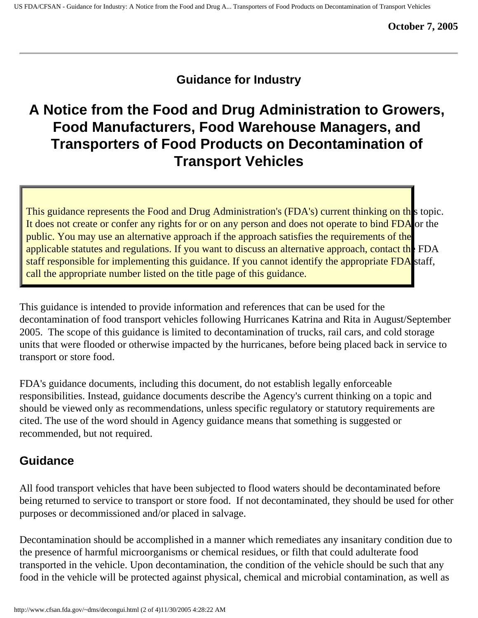### **Guidance for Industry**

## **A Notice from the Food and Drug Administration to Growers, Food Manufacturers, Food Warehouse Managers, and Transporters of Food Products on Decontamination of Transport Vehicles**

This guidance represents the Food and Drug Administration's (FDA's) current thinking on th<sub>is</sub> topic. It does not create or confer any rights for or on any person and does not operate to bind FDA or the public. You may use an alternative approach if the approach satisfies the requirements of the applicable statutes and regulations. If you want to discuss an alternative approach, contact the FDA staff responsible for implementing this guidance. If you cannot identify the appropriate FDA staff, call the appropriate number listed on the title page of this guidance.

This guidance is intended to provide information and references that can be used for the decontamination of food transport vehicles following Hurricanes Katrina and Rita in August/September 2005. The scope of this guidance is limited to decontamination of trucks, rail cars, and cold storage units that were flooded or otherwise impacted by the hurricanes, before being placed back in service to transport or store food.

FDA's guidance documents, including this document, do not establish legally enforceable responsibilities. Instead, guidance documents describe the Agency's current thinking on a topic and should be viewed only as recommendations, unless specific regulatory or statutory requirements are cited. The use of the word should in Agency guidance means that something is suggested or recommended, but not required.

### **Guidance**

All food transport vehicles that have been subjected to flood waters should be decontaminated before being returned to service to transport or store food. If not decontaminated, they should be used for other purposes or decommissioned and/or placed in salvage.

Decontamination should be accomplished in a manner which remediates any insanitary condition due to the presence of harmful microorganisms or chemical residues, or filth that could adulterate food transported in the vehicle. Upon decontamination, the condition of the vehicle should be such that any food in the vehicle will be protected against physical, chemical and microbial contamination, as well as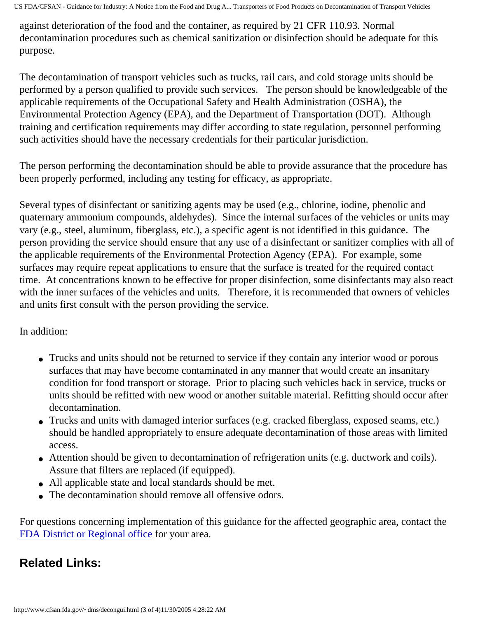US FDA/CFSAN - Guidance for Industry: A Notice from the Food and Drug A... Transporters of Food Products on Decontamination of Transport Vehicles

against deterioration of the food and the container, as required by 21 CFR 110.93. Normal decontamination procedures such as chemical sanitization or disinfection should be adequate for this purpose.

The decontamination of transport vehicles such as trucks, rail cars, and cold storage units should be performed by a person qualified to provide such services. The person should be knowledgeable of the applicable requirements of the Occupational Safety and Health Administration (OSHA), the Environmental Protection Agency (EPA), and the Department of Transportation (DOT). Although training and certification requirements may differ according to state regulation, personnel performing such activities should have the necessary credentials for their particular jurisdiction.

The person performing the decontamination should be able to provide assurance that the procedure has been properly performed, including any testing for efficacy, as appropriate.

Several types of disinfectant or sanitizing agents may be used (e.g., chlorine, iodine, phenolic and quaternary ammonium compounds, aldehydes). Since the internal surfaces of the vehicles or units may vary (e.g., steel, aluminum, fiberglass, etc.), a specific agent is not identified in this guidance. The person providing the service should ensure that any use of a disinfectant or sanitizer complies with all of the applicable requirements of the Environmental Protection Agency (EPA). For example, some surfaces may require repeat applications to ensure that the surface is treated for the required contact time. At concentrations known to be effective for proper disinfection, some disinfectants may also react with the inner surfaces of the vehicles and units. Therefore, it is recommended that owners of vehicles and units first consult with the person providing the service.

In addition:

- Trucks and units should not be returned to service if they contain any interior wood or porous surfaces that may have become contaminated in any manner that would create an insanitary condition for food transport or storage. Prior to placing such vehicles back in service, trucks or units should be refitted with new wood or another suitable material. Refitting should occur after decontamination.
- Trucks and units with damaged interior surfaces (e.g. cracked fiberglass, exposed seams, etc.) should be handled appropriately to ensure adequate decontamination of those areas with limited access.
- Attention should be given to decontamination of refrigeration units (e.g. ductwork and coils). Assure that filters are replaced (if equipped).
- All applicable state and local standards should be met.
- The decontamination should remove all offensive odors.

For questions concerning implementation of this guidance for the affected geographic area, contact the [FDA District or Regional office](http://www.cfsan.fda.gov/~dms/district.html) for your area.

### **Related Links:**